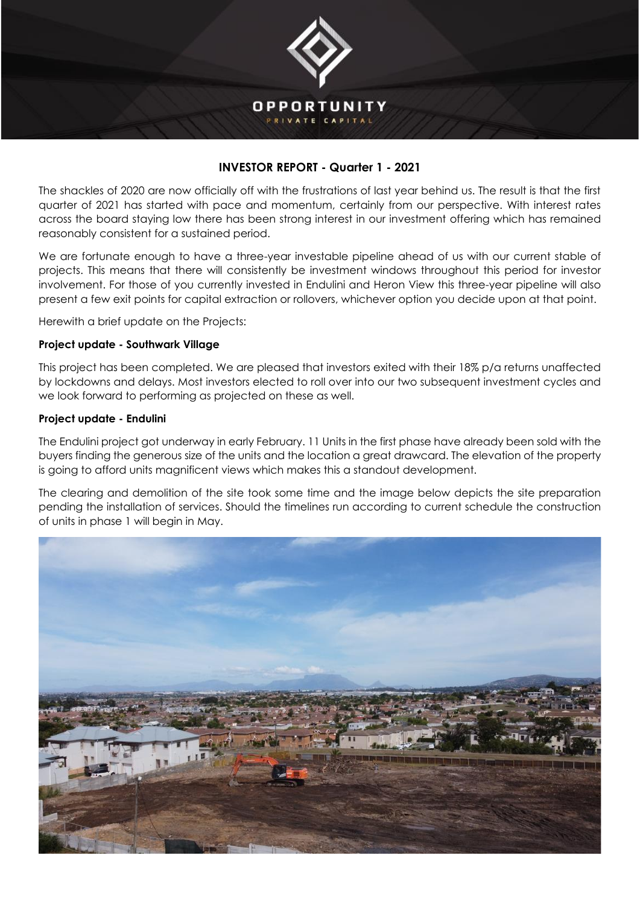

# **INVESTOR REPORT - Quarter 1 - 2021**

The shackles of 2020 are now officially off with the frustrations of last year behind us. The result is that the first quarter of 2021 has started with pace and momentum, certainly from our perspective. With interest rates across the board staying low there has been strong interest in our investment offering which has remained reasonably consistent for a sustained period.

We are fortunate enough to have a three-year investable pipeline ahead of us with our current stable of projects. This means that there will consistently be investment windows throughout this period for investor involvement. For those of you currently invested in Endulini and Heron View this three-year pipeline will also present a few exit points for capital extraction or rollovers, whichever option you decide upon at that point.

Herewith a brief update on the Projects:

## **Project update - Southwark Village**

This project has been completed. We are pleased that investors exited with their 18% p/a returns unaffected by lockdowns and delays. Most investors elected to roll over into our two subsequent investment cycles and we look forward to performing as projected on these as well.

## **Project update - Endulini**

The Endulini project got underway in early February. 11 Units in the first phase have already been sold with the buyers finding the generous size of the units and the location a great drawcard. The elevation of the property is going to afford units magnificent views which makes this a standout development.

The clearing and demolition of the site took some time and the image below depicts the site preparation pending the installation of services. Should the timelines run according to current schedule the construction of units in phase 1 will begin in May.